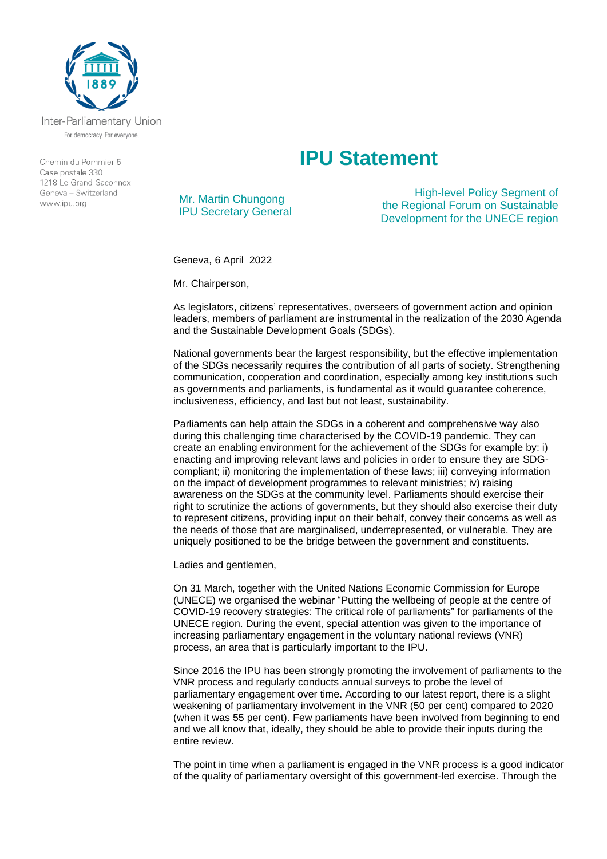

Inter-Parliamentary Union For democracy. For everyone.

Chemin du Pommier 5 Case postale 330  $1218$   $\leq$  Grand-Saconney Geneva - Switzerland www.ipu.org

## **IPU Statement**

Mr. Martin Chungong IPU Secretary General

High-level Policy Segment of the Regional Forum on Sustainable Development for the UNECE region

Geneva, 6 April 2022

Mr. Chairperson,

As legislators, citizens' representatives, overseers of government action and opinion leaders, members of parliament are instrumental in the realization of the 2030 Agenda and the Sustainable Development Goals (SDGs).

National governments bear the largest responsibility, but the effective implementation of the SDGs necessarily requires the contribution of all parts of society. Strengthening communication, cooperation and coordination, especially among key institutions such as governments and parliaments, is fundamental as it would guarantee coherence, inclusiveness, efficiency, and last but not least, sustainability.

Parliaments can help attain the SDGs in a coherent and comprehensive way also during this challenging time characterised by the COVID-19 pandemic. They can create an enabling environment for the achievement of the SDGs for example by: i) enacting and improving relevant laws and policies in order to ensure they are SDGcompliant; ii) monitoring the implementation of these laws; iii) conveying information on the impact of development programmes to relevant ministries; iv) raising awareness on the SDGs at the community level. Parliaments should exercise their right to scrutinize the actions of governments, but they should also exercise their duty to represent citizens, providing input on their behalf, convey their concerns as well as the needs of those that are marginalised, underrepresented, or vulnerable. They are uniquely positioned to be the bridge between the government and constituents.

Ladies and gentlemen,

On 31 March, together with the United Nations Economic Commission for Europe (UNECE) we organised the webinar "Putting the wellbeing of people at the centre of COVID-19 recovery strategies: The critical role of parliaments" for parliaments of the UNECE region. During the event, special attention was given to the importance of increasing parliamentary engagement in the voluntary national reviews (VNR) process, an area that is particularly important to the IPU.

Since 2016 the IPU has been strongly promoting the involvement of parliaments to the VNR process and regularly conducts annual surveys to probe the level of parliamentary engagement over time. According to our latest report, there is a slight weakening of parliamentary involvement in the VNR (50 per cent) compared to 2020 (when it was 55 per cent). Few parliaments have been involved from beginning to end and we all know that, ideally, they should be able to provide their inputs during the entire review.

The point in time when a parliament is engaged in the VNR process is a good indicator of the quality of parliamentary oversight of this government-led exercise. Through the